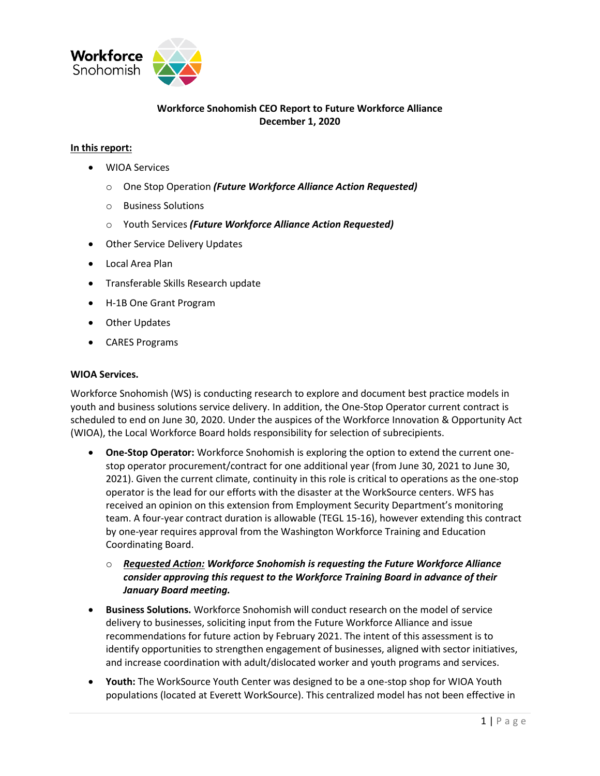

# **Workforce Snohomish CEO Report to Future Workforce Alliance December 1, 2020**

# **In this report:**

- WIOA Services
	- o One Stop Operation *(Future Workforce Alliance Action Requested)*
	- o Business Solutions
	- o Youth Services *(Future Workforce Alliance Action Requested)*
- Other Service Delivery Updates
- Local Area Plan
- Transferable Skills Research update
- H-1B One Grant Program
- Other Updates
- CARES Programs

#### **WIOA Services.**

Workforce Snohomish (WS) is conducting research to explore and document best practice models in youth and business solutions service delivery. In addition, the One-Stop Operator current contract is scheduled to end on June 30, 2020. Under the auspices of the Workforce Innovation & Opportunity Act (WIOA), the Local Workforce Board holds responsibility for selection of subrecipients.

- **One-Stop Operator:** Workforce Snohomish is exploring the option to extend the current onestop operator procurement/contract for one additional year (from June 30, 2021 to June 30, 2021). Given the current climate, continuity in this role is critical to operations as the one-stop operator is the lead for our efforts with the disaster at the WorkSource centers. WFS has received an opinion on this extension from Employment Security Department's monitoring team. A four-year contract duration is allowable (TEGL 15-16), however extending this contract by one-year requires approval from the Washington Workforce Training and Education Coordinating Board.
	- o *Requested Action: Workforce Snohomish is requesting the Future Workforce Alliance consider approving this request to the Workforce Training Board in advance of their January Board meeting.*
- **Business Solutions.** Workforce Snohomish will conduct research on the model of service delivery to businesses, soliciting input from the Future Workforce Alliance and issue recommendations for future action by February 2021. The intent of this assessment is to identify opportunities to strengthen engagement of businesses, aligned with sector initiatives, and increase coordination with adult/dislocated worker and youth programs and services.
- **Youth:** The WorkSource Youth Center was designed to be a one-stop shop for WIOA Youth populations (located at Everett WorkSource). This centralized model has not been effective in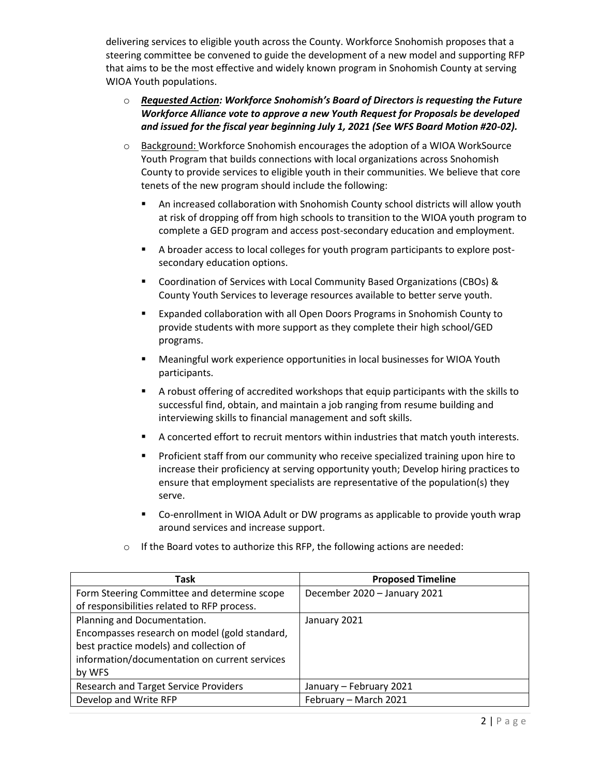delivering services to eligible youth across the County. Workforce Snohomish proposes that a steering committee be convened to guide the development of a new model and supporting RFP that aims to be the most effective and widely known program in Snohomish County at serving WIOA Youth populations.

# o *Requested Action: Workforce Snohomish's Board of Directors is requesting the Future Workforce Alliance vote to approve a new Youth Request for Proposals be developed and issued for the fiscal year beginning July 1, 2021 (See WFS Board Motion #20-02).*

- o Background: Workforce Snohomish encourages the adoption of a WIOA WorkSource Youth Program that builds connections with local organizations across Snohomish County to provide services to eligible youth in their communities. We believe that core tenets of the new program should include the following:
	- An increased collaboration with Snohomish County school districts will allow youth at risk of dropping off from high schools to transition to the WIOA youth program to complete a GED program and access post-secondary education and employment.
	- A broader access to local colleges for youth program participants to explore postsecondary education options.
	- Coordination of Services with Local Community Based Organizations (CBOs) & County Youth Services to leverage resources available to better serve youth.
	- Expanded collaboration with all Open Doors Programs in Snohomish County to provide students with more support as they complete their high school/GED programs.
	- **■** Meaningful work experience opportunities in local businesses for WIOA Youth participants.
	- A robust offering of accredited workshops that equip participants with the skills to successful find, obtain, and maintain a job ranging from resume building and interviewing skills to financial management and soft skills.
	- A concerted effort to recruit mentors within industries that match youth interests.
	- **•** Proficient staff from our community who receive specialized training upon hire to increase their proficiency at serving opportunity youth; Develop hiring practices to ensure that employment specialists are representative of the population(s) they serve.
	- Co-enrollment in WIOA Adult or DW programs as applicable to provide youth wrap around services and increase support.

| Task                                          | <b>Proposed Timeline</b>     |  |  |
|-----------------------------------------------|------------------------------|--|--|
| Form Steering Committee and determine scope   | December 2020 - January 2021 |  |  |
| of responsibilities related to RFP process.   |                              |  |  |
| Planning and Documentation.                   | January 2021                 |  |  |
| Encompasses research on model (gold standard, |                              |  |  |
| best practice models) and collection of       |                              |  |  |
| information/documentation on current services |                              |  |  |
| by WFS                                        |                              |  |  |
| <b>Research and Target Service Providers</b>  | January - February 2021      |  |  |
| Develop and Write RFP                         | February - March 2021        |  |  |

o If the Board votes to authorize this RFP, the following actions are needed: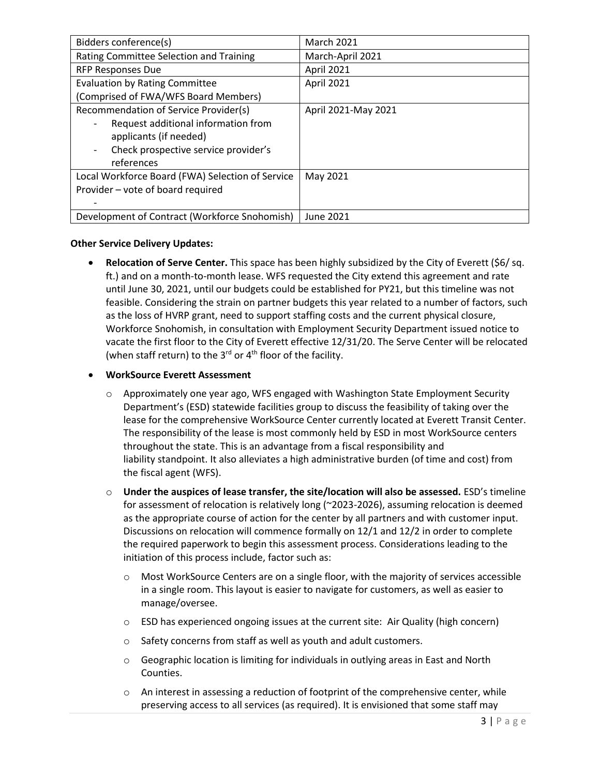| Bidders conference(s)                            | <b>March 2021</b>   |  |  |
|--------------------------------------------------|---------------------|--|--|
| Rating Committee Selection and Training          | March-April 2021    |  |  |
| <b>RFP Responses Due</b>                         | April 2021          |  |  |
| <b>Evaluation by Rating Committee</b>            | April 2021          |  |  |
| (Comprised of FWA/WFS Board Members)             |                     |  |  |
| Recommendation of Service Provider(s)            | April 2021-May 2021 |  |  |
| Request additional information from              |                     |  |  |
| applicants (if needed)                           |                     |  |  |
| Check prospective service provider's             |                     |  |  |
| references                                       |                     |  |  |
| Local Workforce Board (FWA) Selection of Service | May 2021            |  |  |
| Provider - vote of board required                |                     |  |  |
|                                                  |                     |  |  |
| Development of Contract (Workforce Snohomish)    | June 2021           |  |  |

# **Other Service Delivery Updates:**

• **Relocation of Serve Center.** This space has been highly subsidized by the City of Everett (\$6/ sq. ft.) and on a month-to-month lease. WFS requested the City extend this agreement and rate until June 30, 2021, until our budgets could be established for PY21, but this timeline was not feasible. Considering the strain on partner budgets this year related to a number of factors, such as the loss of HVRP grant, need to support staffing costs and the current physical closure, Workforce Snohomish, in consultation with Employment Security Department issued notice to vacate the first floor to the City of Everett effective 12/31/20. The Serve Center will be relocated (when staff return) to the  $3^{rd}$  or  $4^{th}$  floor of the facility.

# • **WorkSource Everett Assessment**

- $\circ$  Approximately one year ago, WFS engaged with Washington State Employment Security Department's (ESD) statewide facilities group to discuss the feasibility of taking over the lease for the comprehensive WorkSource Center currently located at Everett Transit Center. The responsibility of the lease is most commonly held by ESD in most WorkSource centers throughout the state. This is an advantage from a fiscal responsibility and liability standpoint. It also alleviates a high administrative burden (of time and cost) from the fiscal agent (WFS).
- o **Under the auspices of lease transfer, the site/location will also be assessed.** ESD's timeline for assessment of relocation is relatively long (~2023-2026), assuming relocation is deemed as the appropriate course of action for the center by all partners and with customer input. Discussions on relocation will commence formally on 12/1 and 12/2 in order to complete the required paperwork to begin this assessment process. Considerations leading to the initiation of this process include, factor such as:
	- $\circ$  Most WorkSource Centers are on a single floor, with the majority of services accessible in a single room. This layout is easier to navigate for customers, as well as easier to manage/oversee.
	- o ESD has experienced ongoing issues at the current site: Air Quality (high concern)
	- o Safety concerns from staff as well as youth and adult customers.
	- $\circ$  Geographic location is limiting for individuals in outlying areas in East and North Counties.
	- $\circ$  An interest in assessing a reduction of footprint of the comprehensive center, while preserving access to all services (as required). It is envisioned that some staff may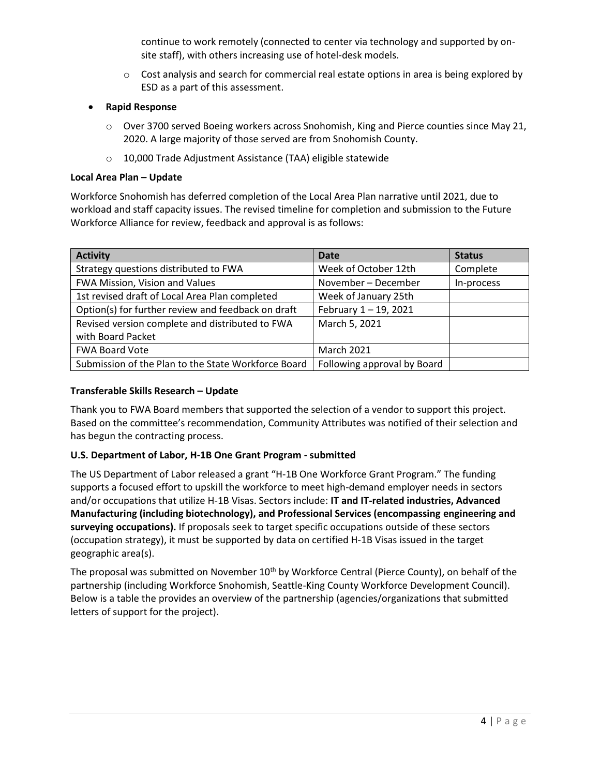continue to work remotely (connected to center via technology and supported by onsite staff), with others increasing use of hotel-desk models.

- $\circ$  Cost analysis and search for commercial real estate options in area is being explored by ESD as a part of this assessment.
- **Rapid Response**
	- $\circ$  Over 3700 served Boeing workers across Snohomish, King and Pierce counties since May 21, 2020. A large majority of those served are from Snohomish County.
	- o 10,000 Trade Adjustment Assistance (TAA) eligible statewide

#### **Local Area Plan – Update**

Workforce Snohomish has deferred completion of the Local Area Plan narrative until 2021, due to workload and staff capacity issues. The revised timeline for completion and submission to the Future Workforce Alliance for review, feedback and approval is as follows:

| <b>Activity</b>                                     | <b>Date</b>                 | <b>Status</b> |
|-----------------------------------------------------|-----------------------------|---------------|
| Strategy questions distributed to FWA               | Week of October 12th        | Complete      |
| FWA Mission, Vision and Values                      | November - December         | In-process    |
| 1st revised draft of Local Area Plan completed      | Week of January 25th        |               |
| Option(s) for further review and feedback on draft  | February 1-19, 2021         |               |
| Revised version complete and distributed to FWA     | March 5, 2021               |               |
| with Board Packet                                   |                             |               |
| <b>FWA Board Vote</b>                               | <b>March 2021</b>           |               |
| Submission of the Plan to the State Workforce Board | Following approval by Board |               |

# **Transferable Skills Research – Update**

Thank you to FWA Board members that supported the selection of a vendor to support this project. Based on the committee's recommendation, Community Attributes was notified of their selection and has begun the contracting process.

# **U.S. Department of Labor, H-1B One Grant Program - submitted**

The US Department of Labor released a grant "H-1B One Workforce Grant Program." The funding supports a focused effort to upskill the workforce to meet high-demand employer needs in sectors and/or occupations that utilize H-1B Visas. Sectors include: **IT and IT-related industries, Advanced Manufacturing (including biotechnology), and Professional Services (encompassing engineering and surveying occupations).** If proposals seek to target specific occupations outside of these sectors (occupation strategy), it must be supported by data on certified H-1B Visas issued in the target geographic area(s).

The proposal was submitted on November  $10<sup>th</sup>$  by Workforce Central (Pierce County), on behalf of the partnership (including Workforce Snohomish, Seattle-King County Workforce Development Council). Below is a table the provides an overview of the partnership (agencies/organizations that submitted letters of support for the project).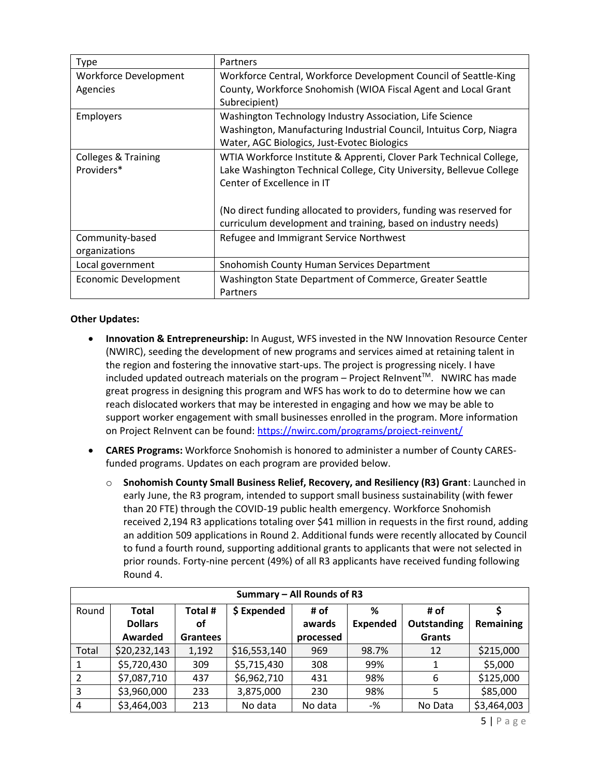| Type                                         | Partners                                                                                                                                                                                                                                                                                                          |
|----------------------------------------------|-------------------------------------------------------------------------------------------------------------------------------------------------------------------------------------------------------------------------------------------------------------------------------------------------------------------|
| Workforce Development<br>Agencies            | Workforce Central, Workforce Development Council of Seattle-King<br>County, Workforce Snohomish (WIOA Fiscal Agent and Local Grant<br>Subrecipient)                                                                                                                                                               |
| <b>Employers</b>                             | Washington Technology Industry Association, Life Science<br>Washington, Manufacturing Industrial Council, Intuitus Corp, Niagra<br>Water, AGC Biologics, Just-Evotec Biologics                                                                                                                                    |
| <b>Colleges &amp; Training</b><br>Providers* | WTIA Workforce Institute & Apprenti, Clover Park Technical College,<br>Lake Washington Technical College, City University, Bellevue College<br>Center of Excellence in IT<br>(No direct funding allocated to providers, funding was reserved for<br>curriculum development and training, based on industry needs) |
| Community-based<br>organizations             | Refugee and Immigrant Service Northwest                                                                                                                                                                                                                                                                           |
| Local government                             | Snohomish County Human Services Department                                                                                                                                                                                                                                                                        |
| <b>Economic Development</b>                  | Washington State Department of Commerce, Greater Seattle<br>Partners                                                                                                                                                                                                                                              |

# **Other Updates:**

- **Innovation & Entrepreneurship:** In August, WFS invested in the NW Innovation Resource Center (NWIRC), seeding the development of new programs and services aimed at retaining talent in the region and fostering the innovative start-ups. The project is progressing nicely. I have included updated outreach materials on the program – Project ReInvent $\mathbb{M}$ . NWIRC has made great progress in designing this program and WFS has work to do to determine how we can reach dislocated workers that may be interested in engaging and how we may be able to support worker engagement with small businesses enrolled in the program. More information on Project ReInvent can be found[: https://nwirc.com/programs/project-reinvent/](https://nwirc.com/programs/project-reinvent/)
- **CARES Programs:** Workforce Snohomish is honored to administer a number of County CARESfunded programs. Updates on each program are provided below.
	- o **Snohomish County Small Business Relief, Recovery, and Resiliency (R3) Grant**: Launched in early June, the R3 program, intended to support small business sustainability (with fewer than 20 FTE) through the COVID-19 public health emergency. Workforce Snohomish received 2,194 R3 applications totaling over \$41 million in requests in the first round, adding an addition 509 applications in Round 2. Additional funds were recently allocated by Council to fund a fourth round, supporting additional grants to applicants that were not selected in prior rounds. Forty-nine percent (49%) of all R3 applicants have received funding following Round 4.

| Summary - All Rounds of R3 |                |                 |              |           |                 |               |             |  |
|----------------------------|----------------|-----------------|--------------|-----------|-----------------|---------------|-------------|--|
| Round                      | Total          | Total #         | \$ Expended  | # of      | ℅               | # of          |             |  |
|                            | <b>Dollars</b> | οf              |              | awards    | <b>Expended</b> | Outstanding   | Remaining   |  |
|                            | Awarded        | <b>Grantees</b> |              | processed |                 | <b>Grants</b> |             |  |
| Total                      | \$20,232,143   | 1,192           | \$16,553,140 | 969       | 98.7%           | 12            | \$215,000   |  |
|                            | \$5,720,430    | 309             | \$5,715,430  | 308       | 99%             |               | \$5,000     |  |
|                            | \$7,087,710    | 437             | \$6,962,710  | 431       | 98%             | 6             | \$125,000   |  |
| 3                          | \$3,960,000    | 233             | 3,875,000    | 230       | 98%             | 5             | \$85,000    |  |
| 4                          | \$3,464,003    | 213             | No data      | No data   | -%              | No Data       | \$3,464,003 |  |